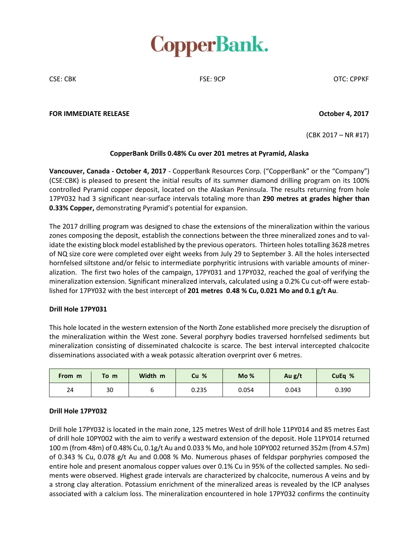

CSE: CBK FSE: 9CP OTC: CPPKF

### **FOR IMMEDIATE RELEASE October 4, 2017**

(CBK 2017 – NR #17)

## **CopperBank Drills 0.48% Cu over 201 metres at Pyramid, Alaska**

**Vancouver, Canada - October 4, 2017** - CopperBank Resources Corp. ("CopperBank" or the "Company") (CSE:CBK) is pleased to present the initial results of its summer diamond drilling program on its 100% controlled Pyramid copper deposit, located on the Alaskan Peninsula. The results returning from hole 17PY032 had 3 significant near-surface intervals totaling more than **290 metres at grades higher than 0.33% Copper,** demonstrating Pyramid's potential for expansion.

The 2017 drilling program was designed to chase the extensions of the mineralization within the various zones composing the deposit, establish the connections between the three mineralized zones and to validate the existing block model established by the previous operators. Thirteen holes totalling 3628 metres of NQ size core were completed over eight weeks from July 29 to September 3. All the holes intersected hornfelsed siltstone and/or felsic to intermediate porphyritic intrusions with variable amounts of mineralization. The first two holes of the campaign, 17PY031 and 17PY032, reached the goal of verifying the mineralization extension. Significant mineralized intervals, calculated using a 0.2% Cu cut-off were established for 17PY032 with the best intercept of **201 metres 0.48 % Cu, 0.021 Mo and 0.1 g/t Au**.

## **Drill Hole 17PY031**

This hole located in the western extension of the North Zone established more precisely the disruption of the mineralization within the West zone. Several porphyry bodies traversed hornfelsed sediments but mineralization consisting of disseminated chalcocite is scarce. The best interval intercepted chalcocite disseminations associated with a weak potassic alteration overprint over 6 metres.

| From m | To<br>m | Width m | Cu %  | Mo <sub>%</sub> | Au g/t | CuEq % |
|--------|---------|---------|-------|-----------------|--------|--------|
| 24     | 30      |         | 0.235 | 0.054           | 0.043  | 0.390  |

## **Drill Hole 17PY032**

Drill hole 17PY032 is located in the main zone, 125 metres West of drill hole 11PY014 and 85 metres East of drill hole 10PY002 with the aim to verify a westward extension of the deposit. Hole 11PY014 returned 100 m (from 48m) of 0.48% Cu, 0.1g/t Au and 0.033 % Mo, and hole 10PY002 returned 352m (from 4.57m) of 0.343 % Cu, 0.078 g/t Au and 0.008 % Mo. Numerous phases of feldspar porphyries composed the entire hole and present anomalous copper values over 0.1% Cu in 95% of the collected samples. No sediments were observed. Highest grade intervals are characterized by chalcocite, numerous A veins and by a strong clay alteration. Potassium enrichment of the mineralized areas is revealed by the ICP analyses associated with a calcium loss. The mineralization encountered in hole 17PY032 confirms the continuity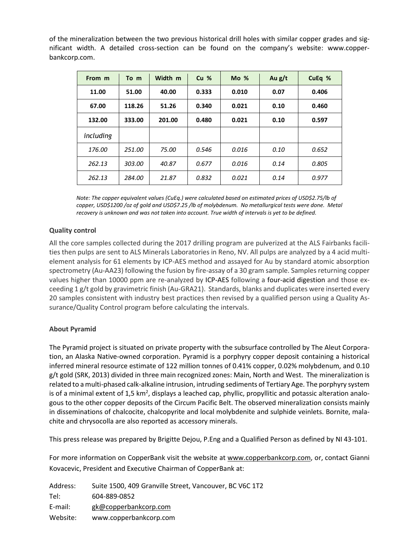of the mineralization between the two previous historical drill holes with similar copper grades and significant width. A detailed cross-section can be found on the company's website: www.copperbankcorp.com.

| From m    | To m   | Width m | Cu <sub>%</sub> | $Mo$ % | Au $g/t$ | CuEq % |
|-----------|--------|---------|-----------------|--------|----------|--------|
| 11.00     | 51.00  | 40.00   | 0.333           | 0.010  | 0.07     | 0.406  |
| 67.00     | 118.26 | 51.26   | 0.340           | 0.021  | 0.10     | 0.460  |
| 132.00    | 333.00 | 201.00  | 0.480           | 0.021  | 0.10     | 0.597  |
| including |        |         |                 |        |          |        |
| 176.00    | 251.00 | 75.00   | 0.546           | 0.016  | 0.10     | 0.652  |
| 262.13    | 303.00 | 40.87   | 0.677           | 0.016  | 0.14     | 0.805  |
| 262.13    | 284.00 | 21.87   | 0.832           | 0.021  | 0.14     | 0.977  |

*Note: The copper equivalent values (CuEq.) were calculated based on estimated prices of USD\$2.75/lb of copper, USD\$1200 /oz of gold and USD\$7.25 /lb of molybdenum. No metallurgical tests were done. Metal recovery is unknown and was not taken into account. True width of intervals is yet to be defined.*

# **Quality control**

All the core samples collected during the 2017 drilling program are pulverized at the ALS Fairbanks facilities then pulps are sent to ALS Minerals Laboratories in Reno, NV. All pulps are analyzed by a 4 acid multielement analysis for 61 elements by ICP-AES method and assayed for Au by standard atomic absorption spectrometry (Au-AA23) following the fusion by fire-assay of a 30 gram sample. Samples returning copper values higher than 10000 ppm are re-analyzed by ICP-AES following a four-acid digestion and those exceeding 1 g/t gold by gravimetric finish (Au-GRA21). Standards, blanks and duplicates were inserted every 20 samples consistent with industry best practices then revised by a qualified person using a Quality Assurance/Quality Control program before calculating the intervals.

## **About Pyramid**

The Pyramid project is situated on private property with the subsurface controlled by The Aleut Corporation, an Alaska Native-owned corporation. Pyramid is a porphyry copper deposit containing a historical inferred mineral resource estimate of 122 million tonnes of 0.41% copper, 0.02% molybdenum, and 0.10 g/t gold (SRK, 2013) divided in three main recognized zones: Main, North and West. The mineralization is related to a multi-phased calk-alkaline intrusion, intruding sediments of Tertiary Age. The porphyry system is of a minimal extent of 1,5 km<sup>2</sup>, displays a leached cap, phyllic, propyllitic and potassic alteration analogous to the other copper deposits of the Circum Pacific Belt. The observed mineralization consists mainly in disseminations of chalcocite, chalcopyrite and local molybdenite and sulphide veinlets. Bornite, malachite and chrysocolla are also reported as accessory minerals.

This press release was prepared by Brigitte Dejou, P.Eng and a Qualified Person as defined by NI 43-101.

For more information on CopperBank visit the website at [www.copperbankcorp.com,](http://www.copperbankcorp.com/) or, contact Gianni Kovacevic, President and Executive Chairman of CopperBank at:

| Address: | Suite 1500, 409 Granville Street, Vancouver, BC V6C 1T2 |
|----------|---------------------------------------------------------|
| Tel:     | 604-889-0852                                            |
| E-mail:  | gk@copperbankcorp.com                                   |
| Website: | www.copperbankcorp.com                                  |